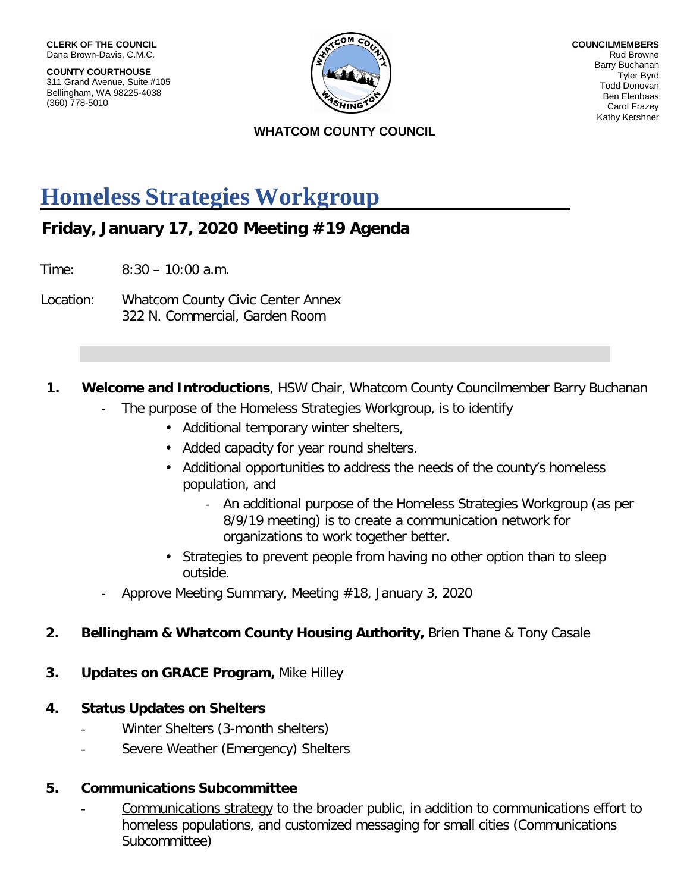**COUNTY COURTHOUSE** 311 Grand Avenue, Suite #105 Bellingham, WA 98225-4038 (360) 778-5010



**COUNCILMEMBERS** Rud Browne Barry Buchanan Tyler Byrd Todd Donovan Ben Elenbaas Carol Frazey Kathy Kershner

#### **WHATCOM COUNTY COUNCIL**

## **Homeless Strategies Workgroup**

### **Friday, January 17, 2020 Meeting #19 Agenda**

Time: 8:30 – 10:00 a.m.

Location: Whatcom County Civic Center Annex 322 N. Commercial, Garden Room

#### **1. Welcome and Introductions**, HSW Chair, Whatcom County Councilmember Barry Buchanan

- The purpose of the Homeless Strategies Workgroup, is to identify
	- Additional temporary winter shelters,
	- Added capacity for year round shelters.
	- Additional opportunities to address the needs of the county's homeless population, and
		- An additional purpose of the Homeless Strategies Workgroup (as per 8/9/19 meeting) is to create a communication network for organizations to work together better.
	- Strategies to prevent people from having no other option than to sleep outside.
- Approve Meeting Summary, Meeting #18, January 3, 2020

#### **2. Bellingham & Whatcom County Housing Authority,** Brien Thane & Tony Casale

- **3. Updates on GRACE Program,** Mike Hilley
- **4. Status Updates on Shelters**
	- Winter Shelters (3-month shelters)
	- Severe Weather (Emergency) Shelters

#### **5. Communications Subcommittee**

Communications strategy to the broader public, in addition to communications effort to homeless populations, and customized messaging for small cities (Communications Subcommittee)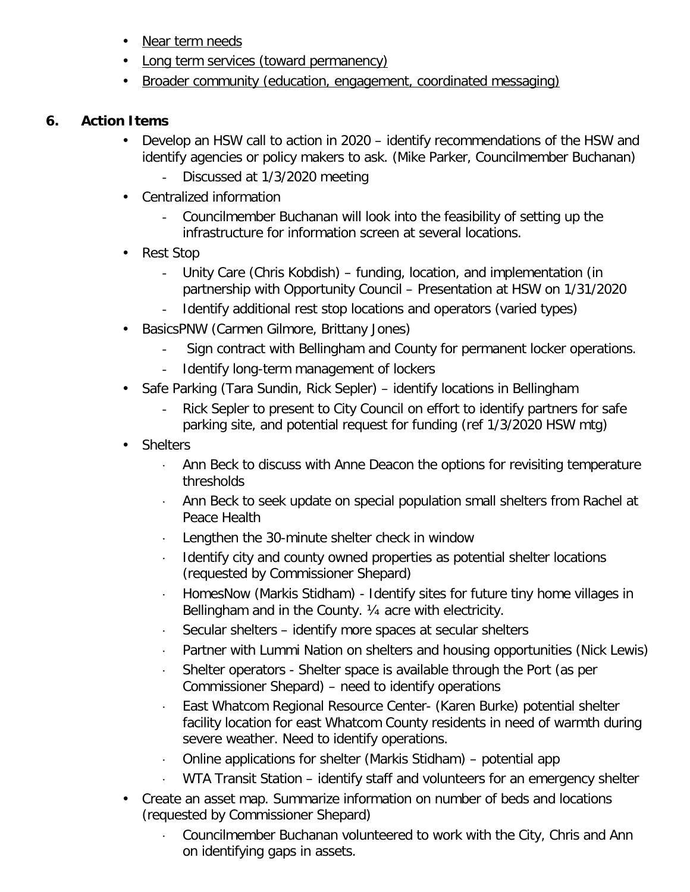- Near term needs
- Long term services (toward permanency)
- Broader community (education, engagement, coordinated messaging)

#### **6. Action Items**

- Develop an HSW call to action in 2020 identify recommendations of the HSW and identify agencies or policy makers to ask. (Mike Parker, Councilmember Buchanan)
	- Discussed at 1/3/2020 meeting
- Centralized information
	- Councilmember Buchanan will look into the feasibility of setting up the infrastructure for information screen at several locations.
- Rest Stop
	- Unity Care (Chris Kobdish) funding, location, and implementation (in partnership with Opportunity Council – Presentation at HSW on 1/31/2020
	- Identify additional rest stop locations and operators (varied types)
- BasicsPNW (Carmen Gilmore, Brittany Jones)
	- Sign contract with Bellingham and County for permanent locker operations.
	- Identify long-term management of lockers
- Safe Parking (Tara Sundin, Rick Sepler) identify locations in Bellingham
	- Rick Sepler to present to City Council on effort to identify partners for safe parking site, and potential request for funding (ref 1/3/2020 HSW mtg)
- Shelters
	- Ann Beck to discuss with Anne Deacon the options for revisiting temperature thresholds
	- ⋅ Ann Beck to seek update on special population small shelters from Rachel at Peace Health
	- ⋅ Lengthen the 30-minute shelter check in window
	- Identify city and county owned properties as potential shelter locations (requested by Commissioner Shepard)
	- ⋅ HomesNow (Markis Stidham) Identify sites for future tiny home villages in Bellingham and in the County. ¼ acre with electricity.
	- Secular shelters identify more spaces at secular shelters
	- ⋅ Partner with Lummi Nation on shelters and housing opportunities (Nick Lewis)
	- ⋅ Shelter operators Shelter space is available through the Port (as per Commissioner Shepard) – need to identify operations
	- ⋅ East Whatcom Regional Resource Center- (Karen Burke) potential shelter facility location for east Whatcom County residents in need of warmth during severe weather. Need to identify operations.
	- ⋅ Online applications for shelter (Markis Stidham) potential app
	- WTA Transit Station identify staff and volunteers for an emergency shelter
- Create an asset map. Summarize information on number of beds and locations (requested by Commissioner Shepard)
	- ⋅ Councilmember Buchanan volunteered to work with the City, Chris and Ann on identifying gaps in assets.